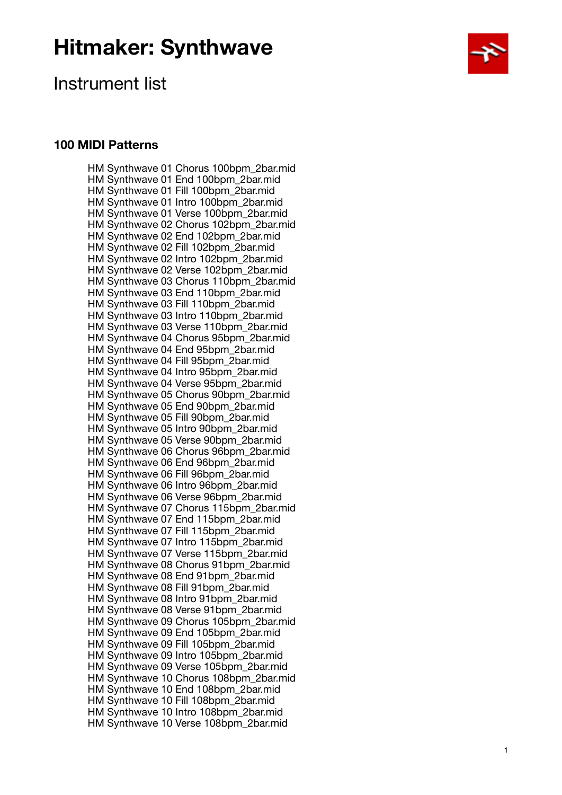

### Instrument list

#### **100 MIDI Patterns**

HM Synthwave 01 Chorus 100bpm\_2bar.mid HM Synthwave 01 End 100bpm\_2bar.mid HM Synthwave 01 Fill 100bpm\_2bar.mid HM Synthwave 01 Intro 100bpm\_2bar.mid HM Synthwave 01 Verse 100bpm\_2bar.mid HM Synthwave 02 Chorus 102bpm\_2bar.mid HM Synthwave 02 End 102bpm\_2bar.mid HM Synthwave 02 Fill 102bpm\_2bar.mid HM Synthwave 02 Intro 102bpm\_2bar.mid HM Synthwave 02 Verse 102bpm\_2bar.mid HM Synthwave 03 Chorus 110bpm\_2bar.mid HM Synthwave 03 End 110bpm\_2bar.mid HM Synthwave 03 Fill 110bpm\_2bar.mid HM Synthwave 03 Intro 110bpm\_2bar.mid HM Synthwave 03 Verse 110bpm\_2bar.mid HM Synthwave 04 Chorus 95bpm\_2bar.mid HM Synthwave 04 End 95bpm\_2bar.mid HM Synthwave 04 Fill 95bpm\_2bar.mid HM Synthwave 04 Intro 95bpm\_2bar.mid HM Synthwave 04 Verse 95bpm\_2bar.mid HM Synthwave 05 Chorus 90bpm\_2bar.mid HM Synthwave 05 End 90bpm\_2bar.mid HM Synthwave 05 Fill 90bpm\_2bar.mid HM Synthwave 05 Intro 90bpm\_2bar.mid HM Synthwave 05 Verse 90bpm\_2bar.mid HM Synthwave 06 Chorus 96bpm\_2bar.mid HM Synthwave 06 End 96bpm\_2bar.mid HM Synthwave 06 Fill 96bpm\_2bar.mid HM Synthwave 06 Intro 96bpm\_2bar.mid HM Synthwave 06 Verse 96bpm\_2bar.mid HM Synthwave 07 Chorus 115bpm\_2bar.mid HM Synthwave 07 End 115bpm\_2bar.mid HM Synthwave 07 Fill 115bpm\_2bar.mid HM Synthwave 07 Intro 115bpm\_2bar.mid HM Synthwave 07 Verse 115bpm\_2bar.mid HM Synthwave 08 Chorus 91bpm\_2bar.mid HM Synthwave 08 End 91bpm\_2bar.mid HM Synthwave 08 Fill 91bpm\_2bar.mid HM Synthwave 08 Intro 91bpm\_2bar.mid HM Synthwave 08 Verse 91bpm\_2bar.mid HM Synthwave 09 Chorus 105bpm\_2bar.mid HM Synthwave 09 End 105bpm\_2bar.mid HM Synthwave 09 Fill 105bpm\_2bar.mid HM Synthwave 09 Intro 105bpm\_2bar.mid HM Synthwave 09 Verse 105bpm\_2bar.mid HM Synthwave 10 Chorus 108bpm\_2bar.mid HM Synthwave 10 End 108bpm\_2bar.mid HM Synthwave 10 Fill 108bpm\_2bar.mid HM Synthwave 10 Intro 108bpm\_2bar.mid HM Synthwave 10 Verse 108bpm\_2bar.mid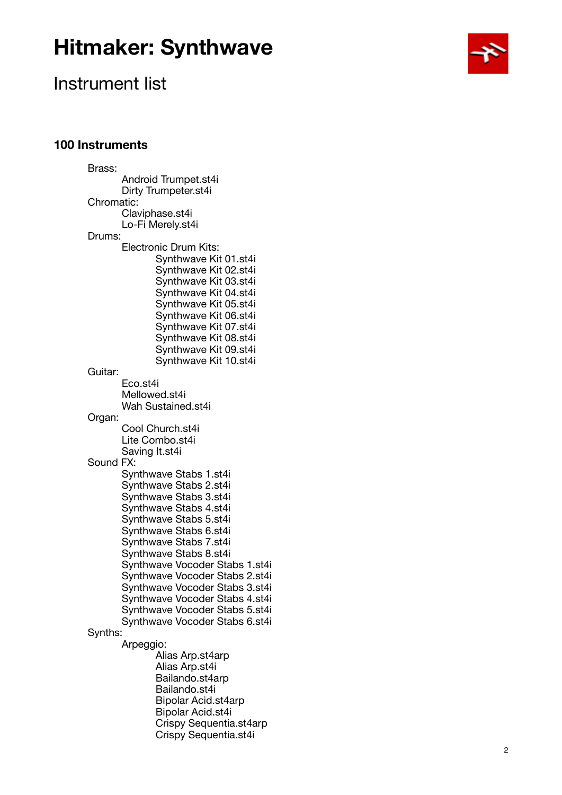

### Instrument list

#### **100 Instruments**

Brass: Android Trumpet.st4i Dirty Trumpeter.st4i Chromatic: Claviphase.st4i Lo-Fi Merely.st4i Drums: Electronic Drum Kits: Synthwave Kit 01.st4i Synthwave Kit 02.st4i Synthwave Kit 03.st4i Synthwave Kit 04.st4i Synthwave Kit 05.st4i Synthwave Kit 06.st4i Synthwave Kit 07.st4i Synthwave Kit 08.st4i Synthwave Kit 09.st4i Synthwave Kit 10.st4i Guitar: Eco.st4i Mellowed.st4i Wah Sustained.st4i Organ: Cool Church.st4i Lite Combo.st4i Saving It.st4i Sound FX: Synthwave Stabs 1.st4i Synthwave Stabs 2.st4i Synthwave Stabs 3.st4i Synthwave Stabs 4.st4i Synthwave Stabs 5.st4i Synthwave Stabs 6.st4i Synthwave Stabs 7.st4i Synthwave Stabs 8.st4i Synthwave Vocoder Stabs 1.st4i Synthwave Vocoder Stabs 2.st4i Synthwave Vocoder Stabs 3.st4i Synthwave Vocoder Stabs 4.st4i Synthwave Vocoder Stabs 5.st4i Synthwave Vocoder Stabs 6.st4i Synths: Arpeggio: Alias Arp.st4arp Alias Arp.st4i Bailando.st4arp Bailando.st4i Bipolar Acid.st4arp Bipolar Acid.st4i Crispy Sequentia.st4arp Crispy Sequentia.st4i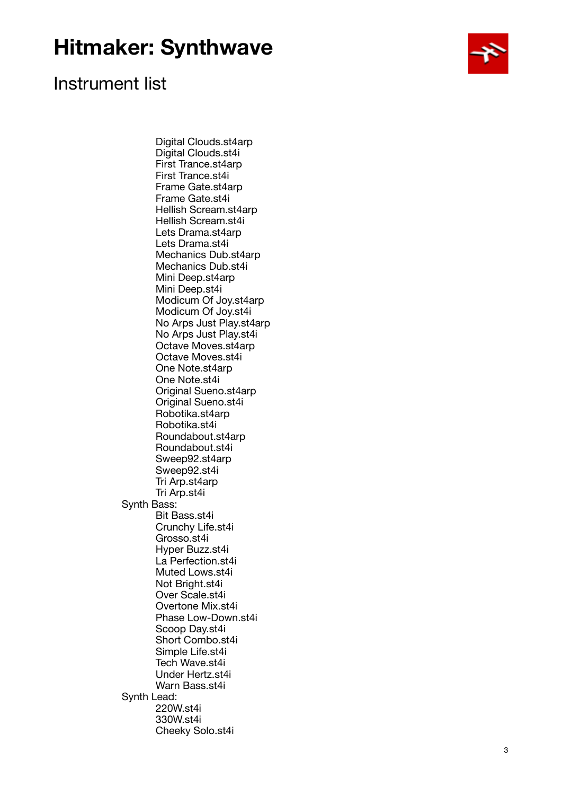

### Instrument list

 Digital Clouds.st4arp Digital Clouds.st4i First Trance.st4arp First Trance.st4i Frame Gate.st4arp Frame Gate.st4i Hellish Scream.st4arp Hellish Scream.st4i Lets Drama.st4arp Lets Drama.st4i Mechanics Dub.st4arp Mechanics Dub.st4i Mini Deep.st4arp Mini Deep.st4i Modicum Of Joy.st4arp Modicum Of Joy.st4i No Arps Just Play.st4arp No Arps Just Play.st4i Octave Moves.st4arp Octave Moves.st4i One Note.st4arp One Note.st4i Original Sueno.st4arp Original Sueno.st4i Robotika.st4arp Robotika.st4i Roundabout.st4arp Roundabout.st4i Sweep92.st4arp Sweep92.st4i Tri Arp.st4arp Tri Arp.st4i Synth Bass: Bit Bass.st4i Crunchy Life.st4i Grosso.st4i Hyper Buzz.st4i La Perfection.st4i Muted Lows.st4i Not Bright.st4i Over Scale.st4i Overtone Mix.st4i Phase Low-Down.st4i Scoop Day.st4i Short Combo.st4i Simple Life.st4i Tech Wave.st4i Under Hertz.st4i Warn Bass.st4i Synth Lead: 220W.st4i 330W.st4i Cheeky Solo.st4i